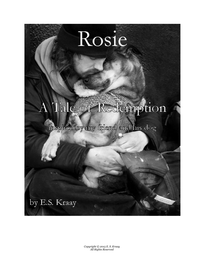## Rosie

## A Tale of Redemption

## inspired by my friend and his dog

by E.S. Kraay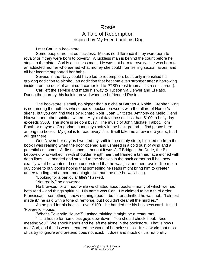## Rosie A Tale of Redemption Inspired by My Friend and his Dog

I met Carl in a bookstore.

Some people are flat out luckless. Makes no difference if they were born to royalty or if they were born to poverty. A luckless man is behind the count before he steps to the plate. Carl is a luckless man. He was not born to royalty. He was born to an addicted mother who earned what money she could from selling sexual favors, and all her income supported her habit.

Service in the Navy could have led to redemption, but it only intensified his growing addiction to alcohol, an addiction that became even stronger after a harrowing incident on the deck of an aircraft carrier led to PTSD (post traumatic stress disorder).

Carl left the service and made his way to Tucson via Denver and El Paso. During the journey, his luck improved when he befriended Rosie.

The bookstore is small, no bigger than a niche at Barnes & Noble. Stephen King is not among the authors whose books beckon browsers with the allure of Homer's sirens, but you can find titles by Richard Rohr, Joan Chittister, Anthony de Mello, Henri Nouwen and other spiritual writers. A typical day grosses less than \$100; a busy day exceeds \$500. The store is seldom busy. The music of John Michael Talbot, Tom Booth or maybe a Gregorian chant plays softly in the background. I find peace here among the books. My goal is to read every title. It will take me a few more years, but I will get there.

One November day as I worked my shift in the empty store, I looked up from the book I was reading when the door opened and ushered in a cold gust of wind and a potential customer. At first glance, I thought it was Jeff Bridges, the Dude, the Big Lebowski who walked in with shoulder length hair that framed a tanned face etched with deep lines. He nodded and strolled to the shelves in the back corner as if he knew exactly what he wanted. I soon understood that he was just another traveler like me, a guy come to buy books hoping that something he reads might bring him to greater understanding and a more meaningful life than the one he was living.

"Looking for a particular title?" I asked.

"Not really," he answered.

He browsed for an hour while we chatted about books – many of which we had both read – and things spiritual. His name was Carl. He claimed to be a third order Franciscan – something I knew nothing about – but later admitted he was not. "I almost made it," he said with a tone of remorse, but I couldn't clear all the hurdles.**"**

As he paid for his books – over \$100 – he handed me his business card. It said 'Poverello House.'

"What's Poverello House?" I asked thinking it might be a restaurant.

"It's a house for homeless guys downtown. You should check it out. Nice meeting you." We shook hands and he left me alone in the bookstore. That is how I met Carl, and that is when I entered the world of homelessness. It is a world that most of us try to ignore and pretend does not exist. It does and much of it is not pretty.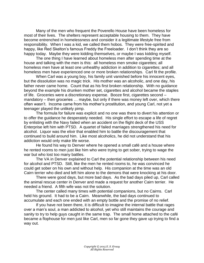Many of the men who frequent the Poverello House have been homeless for most of their lives. The shelters represent acceptable housing to them. They have become entrenched in homelessness and consider it a legitimate lifestyle free from responsibility. When I was a kid, we called them hobos. They were free-spirited and happy, like Red Skelton's famous Freddy the Freeloader. I don't think they are so happy today. Maybe they were kidding themselves, or maybe I was kidding myself.

The one thing I have learned about homeless men after spending time at the house and talking with the men is this: all homeless men smoke cigarettes; all homeless men have at least one unhealthy addiction in addition to cigarettes; and all homeless men have experienced one or more broken relationships. Carl fit the profile.

When Carl was a young boy, his family unit vanished before his innocent eyes, but the dissolution was no magic trick. His mother was an alcoholic, and one day, his father never came home. Count that as his first broken relationship. With no guidance beyond the example his drunken mother set, cigarettes and alcohol became the staples of life. Groceries were a discretionary expense. Booze first, cigarettes second – mandatory – then groceries ... maybe, but only if there was money left over, which there often wasn't. Income came from his mother's prostitution, and young Carl, not yet a teenager played the unlikely pimp.

The formula for failure was explicit and no one was there to divert his attention or to offer the guidance he desperately needed. His single effort to escape a life of regret by enlisting with the Navy failed when an accident on the flight deck of the USS Enterprise left him with PTSD. A quartet of failed marriages strengthened his need for alcohol. Liquor was the elixir that enabled him to battle the discouragement that continued to build around him. Like most alcoholics, he did not understand that his addiction would only make life worse.

He found his way to Denver where he opened a small café and a house where he rented rooms to men just like him who were trying to get sober, trying to wage the war but who lost too many battles.

The VA in Denver explained to Carl the potential relationship between his need for alcohol and PTSD. Still, like the men he rented rooms to, he was convinced he could get sober on his own and without help. His companion at the time was an old Cairn terrier who died and left him alone to the demons that were knocking at his door.

There were good days, but more bad days. As the bad days piled up, Carl called the animal rescue center in Denver and made a request for another Cairn terrier. He needed a friend. A fifth wife was not the solution.

The center called many times with potential companions, but no Cairns. Carl held his ground. It had to be a Cairn. Meanwhile, the bad days continued to accumulate and each one ended with an empty bottle and the promise of no relief.

If you have not been there, it is difficult to imagine the internal battle that rages over a man's soul, a man addicted to alcohol, yet who still maintains the courage and sanity to try to help guys caught in the same trap. The small home attached to the café became a flophouse for men just like Carl, men so far gone they gave up trying to find a way out.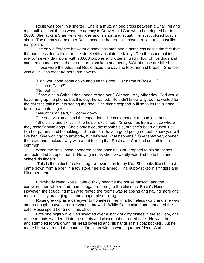Rosie was born in a shelter. She is a mutt, an odd cross between a Shar Pei and a pit bull. at least that is what the agency in Denver told Carl when he adopted her in 2003. She lacks a Shar Pei's wrinkles and is short and squat. Her rust colored coat is short. The agency named her Rosie because her toenails have a rose tint, almost like nail polish.

The only difference between a homeless man and a homeless dog is the fact that the homeless dog will die on the street with absolute certainty. Ten thousand babies are born every day along with 70,000 puppies and kittens. Sadly, four of five dogs and cats are abandoned to the streets or to shelters and nearly 60% of those are killed.

Those were the odds that Rosie faced the day she took her first breath. She too was a luckless creature born into poverty.

"Carl, you gotta come down and see this dog. Her name is Rosie …" "Is she a Cairn?"

"No, but …"

"If she ain't a Cairn, I don't need to see her." Silence. Any other day, Carl would have hung up the phone, but this day, he waited. He didn't know why, but he waited for the caller to talk him into seeing the dog. She didn't respond, willing to let the silence build to a deafening roar.

"Alright," Carl said, "I'll come down."

The dog was small and the cage, dark. He could not get a good look at her.

"She's shy and skittish," the helper explained. "She comes from a place where they raise fighting dogs. She's only a couple months old, but she's been abused just like her parents and her siblings. She doesn't have a good pedigree, but I know you will like her. She won't go to anybody, but let's see what happens." She tentatively opened the crate and backed away with a gut feeling that Rosie and Carl had something in common.

When the small nose appeared at the opening, Carl dropped to his haunches and extended an open hand. He laughed as she awkwardly waddled up to him and sniffed his fingers.

"This is the cutest, freakin' dog I've ever seen in my life. She looks like she just came down from a shelf in a toy store," he exclaimed. The puppy licked his fingers and lifted her head.

Everybody loved Rosie. She quickly became the house mascot, and the careworn men who rented rooms began referring to the place as 'Rosie's House.' However, the struggling man who rented the rooms was relapsing and having more and more difficulty managing his unmanageable drinking.

Rosie grew up as a caregiver to homeless men in a homeless world and she was smart enough to avoid trouble when it brewed. While Carl cooked and managed the café, Rosie spent her time in his office.

Late one night while Carl sweated over a stack of dirty dishes in the scullery, one of the tenants wandered into the empty and closed but unlocked café. He was drunk and stumbled forward with his head lowered and his hands in his coat pockets. As he made his way around the counter, Rosie growled a warning to her friend, Carl.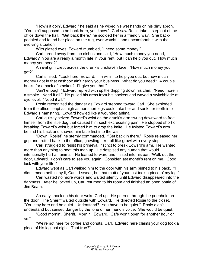"How's it goin', Edward," he said as he wiped his wet hands on his dirty apron. "You ain't supposed to be back here, you know." Carl saw Rosie take a step out of the office down the hall. "Get back there," he scolded her in a friendly way. She backpedaled and found her place on the rug, ever watchful and uncomfortable with the evolving situation.

With glazed eyes, Edward mumbled, "I need some money."

Carl turned away from the dishes and said, "How much money you need, Edward? You are already a month late in your rent, but I can help you out. How much money you need?"

An evil grin crept across the drunk's unshaven face. "How much money you got?"

Carl smiled. "Look here, Edward. I'm willin' to help you out, but how much money I got in that cashbox ain't hardly your business. What do you need? A couple bucks for a pack of smokes? I'll give you that."

"Ain't enough," Edward replied with spittle dripping down his chin. "Need more'n a smoke. Need it all." He pulled his arms from his pockets and waved a switchblade at eye level. "Need it all."

Rosie recognized the danger as Edward stepped toward Carl. She exploded from the office, leapt as high as her short legs could take her and sunk her teeth into Edward's hamstring. Edward howled like a wounded animal.

Carl quickly seized Edward's wrist as the drunk's arm swung downward to free himself from the little dog that caused him such excruciating pain. He stopped short of breaking Edward's wrist but forced him to drop the knife. He twisted Edward's arm behind his back and shoved him face first into the wall.

"Down, Rosie!" he sternly commanded. "Get back in there." Rosie released her grip and trotted back to the office, growling her troll-like growl with every step.

Carl struggled to resist his primeval instinct to break Edward's arm. He wanted more than anything to beat this man up. He despised any human that would intentionally hurt an animal. He leaned forward and hissed into his ear, "Walk out the door, Edward. I don't care to see you again. Consider last month's rent on me. Good luck with your life."

Edward wept as Carl walked him to the door with his arm pinned to his back. "I didn't mean nothin' by it, Carl. I swear, but that mutt of your just took a piece o' my leg."

Carl wasted no more words and waited silently until Edward disappeared into the darkness. After he locked up, Carl returned to his room and finished an open bottle of Jim Beam.

An early knock on his door woke Carl up. He peered through the peephole on the door. The Sheriff waited outside with Edward. He directed Rosie to the closet. "You stay here and be quiet. Understand? You have to be quiet." Rosie didn't understand but sensed danger by the tone of her friend's voice. She would be quiet.

"Good mornin', Sheriff. Mornin', Edward. Café won't open for another hour or so."

"We're not here for coffee and donuts, Carl. Edward here claims your dog took a piece of his leg last night. That true?"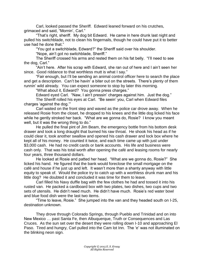Carl, looked passed the Sheriff. Edward leaned forward on his crutches, grimaced and said, "Mornin', Carl."

"That's right, sheriff. My dog bit Edward. He came in here drunk last night and pulled his switchblade, not to clean his fingernails, though he could have put it to better use had he done that."

"You got a switchblade, Edward?" the Sheriff said over his shoulder.

"Nope, ain't got no switchblade, Sheriff."

The Sheriff crossed his arms and rested them on his fat belly. "I'll need to see the dog, Carl."

"Ain't here. After his scrap with Edward, she ran out of here and I ain't seen her since. Good riddance to that worthless mutt is what I say."

"Fair enough, but I'll be sending an animal control officer here to search the place and get a description. Can't be havin' a biter out on the streets. There's plenty of them runnin' wild already. You can expect someone to stop by later this morning.

"What about it, Edward? You gonna press charges."

Edward eyed Carl. "Naw, I ain't pressin' charges against him. Just the dog." The Sheriff rolled his eyes at Carl. "Be seein' you, Carl when Edward files charges 'against the dog.'"

Carl waited on the front step and waved as the police car drove away. When he released Rosie from the closet, he dropped to his knees and the little dog licked his face while he gently stroked her back. "What are we gonna do, Rosie? I know you meant well, but it was the wrong thing to do."

He pulled the final pint of Jim Beam, the emergency bottle from his bottom desk drawer and took a long draught that burned his raw throat. He shook his head as if he could clear it, took another swallow and opened his cash drawer and lock box where he kept all of his money. He counted it twice, and each time came up with just under \$3,000 cash. He had no credit cards or bank accounts. His life and business were cash only. That was his total worth after opening the café and leasing rooms for nearly four years, three thousand dollars.

He looked at Rosie and patted her head. "What are we gonna do, Rosie?" She licked his hand. He figured that the bank would foreclose the small mortgage on the café and house if he just up and left. It wasn't more than a shanty anyway with little equity to speak of. Would the police try to catch up with a worthless drunk man and his little dog? He doubted it and concluded it was time for them to leave.

Carl filled his Navy duffle bag with the few clothes he had and tossed it into his rusted van. He packed a cardboard box with two plates, two dishes, two cups and two sets of utensils. He didn't need much. He didn't have much. Rosie's red water bowl and blue food dish were the last two items.

"Time to leave, Rosie." She jumped into the van and they headed south on I-25, destination unknown.

They drove through Colorado Springs, through Pueblo and Trinidad and on into New Mexico … past Santa Fe, then Albuquerque, Truth or Consequences and Las Cruces. As the sun set over the desert they were rolling down I-10 and approaching El Paso. Tired and hungry, Carl pulled into the Cam lot Inn. The 'e' was not illuminated on the blinking neon sign.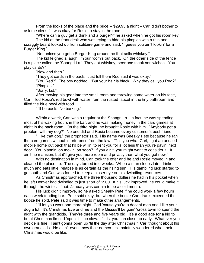From the looks of the place and the price -- \$29.95 a night – Carl didn't bother to ask the clerk if it was okay for Rosie to stay in the room.

"Where can a guy get a drink and a burger?" he asked when he got his room key.

The kid at the front desk who was trying to hide his pimples with a thin and scraggly beard looked up from solitaire game and said, "I guess you ain't lookin' for a Burger King."

"Not unless you got a Burger King around he that sells whiskey."

The kid feigned a laugh. "Your room's out back. On the other side of the fence is a place called the 'Shangri La.' They got whiskey, beer and steak san'wiches. You play cards?"

"Now and then."

"They got cards in the back. Just tell them Red said it was okay."

"You Red?" The boy nodded. "But your hair is black. Why they call you Red?" "Pimples."

"Sorry, kid."

After moving his gear into the small room and throwing some water on his face, Carl filled Rosie's red bowl with water from the rusted faucet in the tiny bathroom and filled the blue bowl with food.

"I'll be back. No barking."

Within a week, Carl was a regular at the Shangri La. In fact, he was spending most of his waking hours in the bar, and he was making money in the card games at night in the back room. On the third night, he brought Rosie with him. "Anybody got a problem with my dog?" No one did and Rosie became every customer's best friend.

"I like that dog," the proprietor said. His name was Sneaky Pete because he ran the card games without interference from the law. "Tell you what Carl, I got an unused mobile home out back that I'd be willin' to rent you for a lot less than you're payin' next door. You plannin' on movin' on soon? If you ain't, you might want to consider it. It ain't no mansion, but it'll give you more room and privacy than what you got now."

With no destination in mind, Carl took the offer and he and Rosie moved in and cleaned the place up. The days turned into weeks. When a man sleeps late, drinks much and eats little, relapse is as certain as the rising sun. His gambling luck started to go south and Carl was forced to keep a closer eye on his dwindling resources.

As Christmas approached, the three thousand dollars he had in his pocket when he left Denver had dwindled to just short of \$500. If his luck improved, he could make it through the winter. If not, January was certain to be a cold month.

His luck didn't improve, so he asked Sneaky Pete if he could work a few hours each week tending bar. Pete said okay, but when the booze Carl drank exceeded the booze he sold, Pete said it was time to make other arrangements.

"I'll let you work one more night, Carl 'cause you're a decent man and I like your dog a lot. It's Christmas Eve and me and the Missus'll be goin' 'cross town to spend the night with the grandkids. They're three and five years old. It's a good age for a kid to be at Christmas time. I 'spect it'll be slow. If it is, you can close up early. Whatever you decide is fine. I ain't gonna open up 'til the day after Christmas." Carl thought about his own grandkids. He didn't even know their names. He painfully wondered what their Christmas would be like.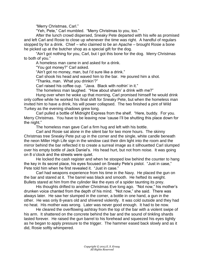"Merry Christmas, Carl."

"Yeh, Pete," Carl mumbled. "Merry Christmas to you, too."

After the lunch crowd dispersed, Sneaky Pete departed with his wife as promised and left Carl and Rosie to close up whenever the time was right. A handful of regulars stopped by for a drink. Chief – who claimed to be an Apache – brought Rosie a bone he picked up at the butcher shop as a special gift for the dog.

"Ain't got nothing for you, Carl, but I got this bone for the dog. Merry Christmas to both of you."

A homeless man came in and asked for a drink.

"You got money?" Carl asked.

"Ain't got no money, man, but I'd sure like a drink."

Carl shook his head and waved him to the bar. He poured him a shot.

"Thanks, man. What you drinkin'?"

Carl raised his coffee cup. "Java. Black with nothin' in it."

The homeless man laughed. "How about sharin' a drink with me?"

Hung over when he woke up that morning, Carl promised himself he would drink only coffee while he worked his final shift for Sneaky Pete, but when the homeless man invited him to have a drink, his will power collapsed. The two finished a pint of Wild Turkey as the evening shadows grew long.

Carl pulled a bottle of Midnight Express from the shelf. "Here, buddy. For you. Merry Christmas. You have to be leaving now 'cause I'll be shutting this place down for the night."

The homeless man gave Carl a firm hug and left with his bottle.

Carl and Rosie sat alone in the silent bar for two more hours. The skinny Christmas tree Sneaky Pete put up in the corner and the single, white candle beneath the neon Miller High Life sign in the window cast their dim light into the room and the mirror behind the bar reflected it to create a surreal image as it silhouetted Carl slumped over his empty bottle of Jack Daniel's. His head hurt, but not from noise. It was going on 8 o'clock and the streets were quiet.

He locked the cash register and when he stooped low behind the counter to hang the key in its secret place, his eyes focused on Sneaky Pete's pistol. "Just in case," Pete told him when he first revealed it. "Just in case."

Carl had weapons experience from his time in the Navy. He placed the gun on the bar and stared at it. The barrel was black and smooth. He hefted its weight. Bullets stared at him from the cylinder like the eyes of a spider taunting its prey.

His thoughts drifted to another Christmas Eve long ago. "Not now," his mother's drunken voice chanted from the depth of his mind. "Not now," she said. There was always later. He saw her slumped in the corner, a bottle in one hand, a gun in the other. He was only 8-years old and shivered violently. It was cold outside and they had no heat. His mother was wrong. Later was never good enough. It had to be now.

He cleared the overflowing ashtray from the top of the bar with a violent swipe of his arm. It shattered on the concrete behind the bar and the sound of tinkling shards lasted forever. He raised the gun barrel to his forehead and squeezed his eyes tightly as he began to apply pressure to the trigger. The hammer eased back slowly and as it did, Rosie softly whimpered.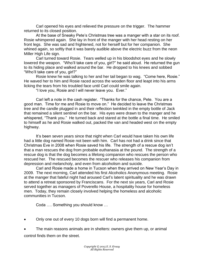Carl opened his eyes and relieved the pressure on the trigger. The hammer returned to its closed position.

At the base of Sneaky Pete's Christmas tree was a manger with a star on its roof. Rosie whimpered again. She lay in front of the manger with her head resting on her front legs. She was sad and frightened, not for herself but for her companion. She whined again, so softly that it was barely audible above the electric buzz from the neon Miller High Life sign.

Carl turned toward Rosie. Tears welled up in his bloodshot eyes and he slowly lowered the weapon. "Who'll take care of you, girl?" he said aloud. He returned the gun to its hiding place and walked around the bar. He dropped to his knees and sobbed "Who'll take care of you, girl?"

Rosie knew he was talking to her and her tail began to wag. "Come here, Rosie." He waved her to him and Rosie raced across the wooden floor and leapt into his arms licking the tears from his troubled face until Carl could smile again.

"I love you, Rosie and I will never leave you. Ever."

Carl left a note in the cash register. "Thanks for the chance, Pete. You are a good man. Time for me and Rosie to move on." He decided to leave the Christmas tree and the candle plugged in and their reflection twinkled in the empty bottle of Jack that remained a silent sentinel on the bar. His eyes were drawn to the manger and he whispered, "Thank you." He turned back and stared at the bottle a final time. He smiled to himself as he and Rosie walked out, packed the van and headed west on the empty highway.

It's been seven years since that night when Carl would have taken his own life had a little dog named Rosie not been with him. Carl has not had a drink since that Christmas Eve in 2008 when Rosie saved his life. The strength of a rescue dog isn't that a man rescues the dog from probable euthanasia at the pound. The strength of a rescue dog is that the dog becomes a lifelong companion who rescues the person who rescued her. The rescued becomes the rescuer who releases his companion from depression and melancholy, and even from alcoholism and suicide.

Carl and Rosie made a home in Tucson when they arrived on New Year's Day in 2009. The next morning, Carl attended his first Alcoholics Anonymous meeting. Rosie at the manger that fateful night had aroused Carl's latent spirituality and he was drawn to attend a retreat sponsored by Franciscans. For the next six years, Carl and Rosie served together as managers of Poverello House, a hospitality house for homeless men. Today, they remain closely involved helping the homeless and alcoholic communities in Tucson.

Coda …. Something you should know …

- Only one out of every 10 dogs born will find a permanent home.
- The main reasons animals are in shelters: owners give them up, or animal control finds them on the street.